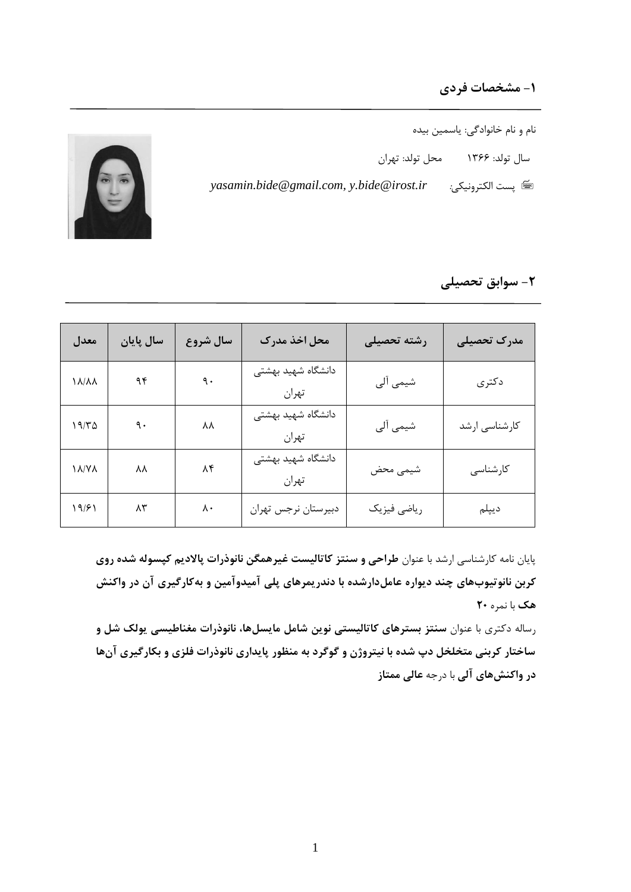## **-1 مشخصات فردي**

- نام و نام خانوادگی: یاسمین بیده
- سال تولد: 1366 محل تولد: تهران
- *yasamin.bide@gmail.com, y.bide@irost.ir* :الكترونیكی پست



## **-2 سوابق تحصیلی**

| معدل         | سال پایان | سال شروع         | محل اخذ مدرك                | رشته تحصيلى | مدرک تحصیلی   |
|--------------|-----------|------------------|-----------------------------|-------------|---------------|
| <b>\A/AA</b> | ۹۴        | $\mathfrak{q}$ . | دانشگاه شهید بهشتی<br>تهران | شیمی آلی    | دكترى         |
| 19/70        | ٩.        | ΛV               | دانشگاه شهید بهشتی<br>تهران | شیمی آلی    | کارشناسی ارشد |
| <b>AY/V</b>  | ۸۸        | $\lambda f$      | دانشگاه شهید بهشتی<br>تهران | شيمى محض    | كارشناسى      |
| 19/۶۱        | ۸۳        | $\lambda \cdot$  | دبيرستان نرجس تهران         | رياضي فيزيك | ديپلم         |

پایان نامه کارشناسی ارشد با عنوان **طراحی و سنتز کاتالیست غیرهمگن نانوذرات پاالدیم کپسوله شده روي کربن نانوتیوبهاي چند دیواره عاملدارشده با دندریمرهاي پلی آمیدوآمین و بهکارگیري آن در واکنش هک** با نمره **20**

رساله دکتری با عنوان **سنتز بسترهای کاتالیستی نوین شامل مایسلها، نانوذرات مغناطیسی یولک شل و ساختار کربنی متخلخل دپ شده با نیتروژن و گوگرد به منظور پایداري نانوذرات فلزي و بکارگیري آنها در واکنشهاي آلی** با درجه **عالی ممتاز**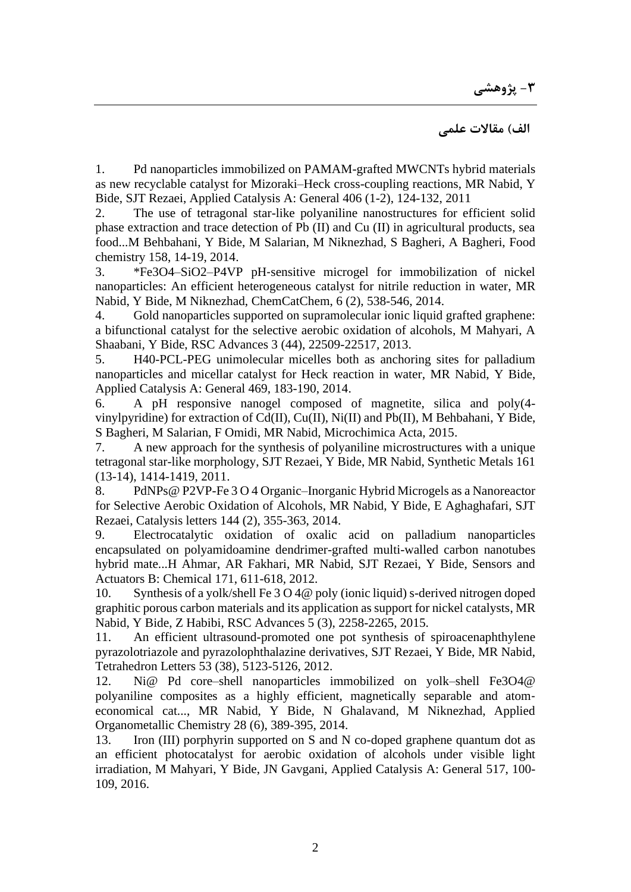## **الف( مقاالت علمی**

1. [Pd nanoparticles immobilized on PAMAM-grafted MWCNTs hybrid materials](javascript:void(0))  [as new recyclable catalyst for Mizoraki–Heck cross-coupling reactions,](javascript:void(0)) MR Nabid, Y Bide, SJT Rezaei, Applied Catalysis A: General 406 (1-2), 124-132, 2011

2. [The use of tetragonal star-like polyaniline nanostructures for efficient solid](javascript:void(0))  [phase extraction and trace detection of Pb \(II\) and Cu \(II\) in agricultural products, sea](javascript:void(0))  [food...M](javascript:void(0)) Behbahani, Y Bide, M Salarian, M Niknezhad, S Bagheri, A Bagheri, Food chemistry 158, 14-19, 2014.

3. \*Fe3O4–SiO2–P4VP pH‐[sensitive microgel for immobilization of nickel](javascript:void(0))  [nanoparticles: An efficient heterogeneous catalyst for nitrile reduction in water,](javascript:void(0)) MR Nabid, Y Bide, M Niknezhad, ChemCatChem, 6 (2), 538-546, 2014.

4. [Gold nanoparticles supported on supramolecular ionic liquid grafted graphene:](javascript:void(0))  [a bifunctional catalyst for the selective aerobic oxidation of alcohols,](javascript:void(0)) M Mahyari, A Shaabani, Y Bide, RSC Advances 3 (44), 22509-22517, 2013.

5. [H40-PCL-PEG unimolecular micelles both as anchoring sites for palladium](javascript:void(0))  [nanoparticles and micellar catalyst for Heck reaction in water,](javascript:void(0)) MR Nabid, Y Bide, Applied Catalysis A: General 469, 183-190, 2014.

6. [A pH responsive nanogel composed of magnetite, silica and poly\(4](javascript:void(0)) [vinylpyridine\) for extraction of Cd\(II\), Cu\(II\), Ni\(II\) and Pb\(II\),](javascript:void(0)) M Behbahani, Y Bide, S Bagheri, M Salarian, F Omidi, MR Nabid, Microchimica Acta, 2015.

7. [A new approach for the synthesis of polyaniline microstructures with a unique](javascript:void(0))  [tetragonal star-like morphology,](javascript:void(0)) SJT Rezaei, Y Bide, MR Nabid, Synthetic Metals 161 (13-14), 1414-1419, 2011.

8. [PdNPs@ P2VP-Fe 3 O 4 Organic–Inorganic Hybrid Microgels as a Nanoreactor](javascript:void(0))  [for Selective Aerobic Oxidation of Alcohols,](javascript:void(0)) MR Nabid, Y Bide, E Aghaghafari, SJT Rezaei, Catalysis letters 144 (2), 355-363, 2014.

9. [Electrocatalytic oxidation of oxalic acid on palladium nanoparticles](javascript:void(0))  [encapsulated on polyamidoamine dendrimer-grafted multi-walled carbon nanotubes](javascript:void(0))  [hybrid mate...H](javascript:void(0)) Ahmar, AR Fakhari, MR Nabid, SJT Rezaei, Y Bide, Sensors and Actuators B: Chemical 171, 611-618, 2012.

10. [Synthesis of a yolk/shell Fe 3 O 4@ poly \(ionic liquid\) s-derived nitrogen doped](javascript:void(0))  [graphitic porous carbon materials and its application as support for nickel catalysts,](javascript:void(0)) MR Nabid, Y Bide, Z Habibi, RSC Advances 5 (3), 2258-2265, 2015.

11. [An efficient ultrasound-promoted one pot synthesis of spiroacenaphthylene](javascript:void(0))  [pyrazolotriazole and pyrazolophthalazine derivatives,](javascript:void(0)) SJT Rezaei, Y Bide, MR Nabid, Tetrahedron Letters 53 (38), 5123-5126, 2012.

12. [Ni@ Pd core–shell nanoparticles immobilized on yolk–shell Fe3O4@](javascript:void(0))  [polyaniline composites as a highly efficient, magnetically separable and atom](javascript:void(0))[economical cat...,](javascript:void(0)) MR Nabid, Y Bide, N Ghalavand, M Niknezhad, Applied Organometallic Chemistry 28 (6), 389-395, 2014.

13. [Iron \(III\) porphyrin supported on S and N co-doped graphene quantum dot as](javascript:void(0))  [an efficient photocatalyst for aerobic oxidation of alcohols under visible light](javascript:void(0))  [irradiation,](javascript:void(0)) M Mahyari, Y Bide, JN Gavgani, Applied Catalysis A: General 517, 100- 109, 2016.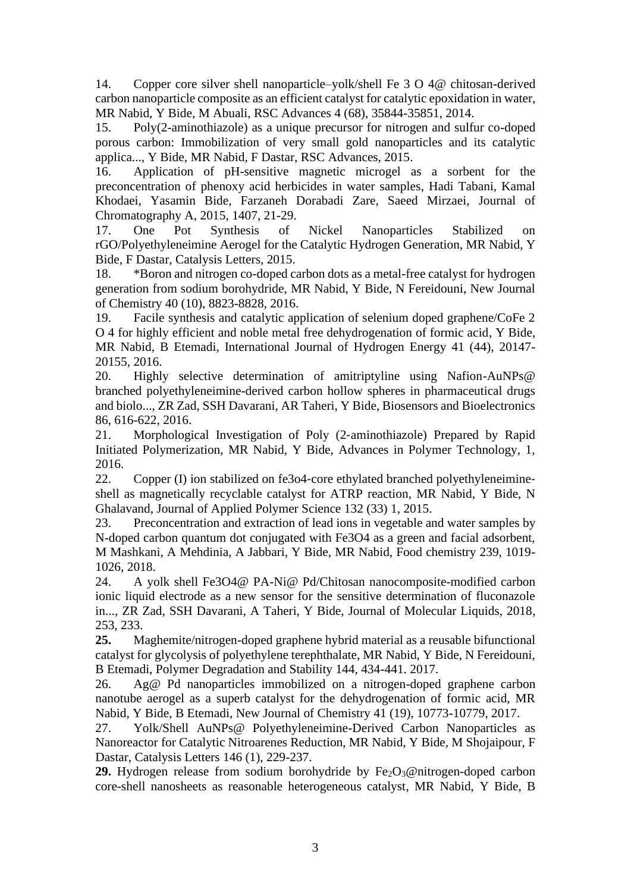14. [Copper core silver shell nanoparticle–yolk/shell Fe 3 O 4@ chitosan-derived](javascript:void(0))  [carbon nanoparticle composite as an efficient catalyst for catalytic epoxidation in water,](javascript:void(0)) MR Nabid, Y Bide, M Abuali, RSC Advances 4 (68), 35844-35851, 2014.

15. [Poly\(2-aminothiazole\) as a unique precursor for nitrogen and sulfur co-doped](javascript:void(0))  [porous carbon: Immobilization of very small gold nanoparticles and its catalytic](javascript:void(0))  [applica...,](javascript:void(0)) Y Bide, MR Nabid, F Dastar, RSC Advances, 2015.

16. [Application of pH-sensitive magnetic microgel as a sorbent for the](javascript:void(0))  [preconcentration of phenoxy acid herbicides in water samples,](javascript:void(0)) Hadi Tabani, Kamal Khodaei, Yasamin Bide, Farzaneh Dorabadi Zare, Saeed Mirzaei, Journal of Chromatography A, 2015, 1407, 21-29.

17. [One Pot Synthesis of Nickel Nanoparticles Stabilized on](javascript:void(0))  [rGO/Polyethyleneimine Aerogel for the Catalytic Hydrogen Generation,](javascript:void(0)) MR Nabid, Y Bide, F Dastar, Catalysis Letters, 2015.

18. [\\*Boron and nitrogen co-doped carbon dots as a metal-free catalyst for hydrogen](javascript:void(0))  [generation from sodium borohydride,](javascript:void(0)) MR Nabid, Y Bide, N Fereidouni, New Journal of Chemistry 40 (10), 8823-8828, 2016.

19. [Facile synthesis and catalytic application of selenium doped graphene/CoFe 2](javascript:void(0))  [O 4 for highly efficient and noble metal free dehydrogenation of formic acid,](javascript:void(0)) Y Bide, MR Nabid, B Etemadi, International Journal of Hydrogen Energy 41 (44), 20147- 20155, 2016.

20. [Highly selective determination of amitriptyline using Nafion-AuNPs@](javascript:void(0))  [branched polyethyleneimine-derived carbon hollow spheres in pharmaceutical drugs](javascript:void(0))  [and biolo...,](javascript:void(0)) ZR Zad, SSH Davarani, AR Taheri, Y Bide, Biosensors and Bioelectronics 86, 616-622, 2016.

21. Morphological Investigation of Poly (2‐aminothiazole) Prepared by Rapid Initiated Polymerization, MR Nabid, Y Bide, Advances in Polymer Technology, 1, 2016.

22. Copper (I) ion stabilized on fe3o4‐core ethylated branched polyethyleneimine‐ shell as magnetically recyclable catalyst for ATRP reaction, MR Nabid, Y Bide, N Ghalavand, Journal of Applied Polymer Science 132 (33) 1, 2015.

23. Preconcentration and extraction of lead ions in vegetable and water samples by N-doped carbon quantum dot conjugated with Fe3O4 as a green and facial adsorbent, M Mashkani, A Mehdinia, A Jabbari, Y Bide, MR Nabid, Food chemistry 239, 1019- 1026, 2018.

24. A yolk shell Fe3O4@ PA-Ni@ Pd/Chitosan nanocomposite-modified carbon ionic liquid electrode as a new sensor for the sensitive determination of fluconazole in..., ZR Zad, SSH Davarani, A Taheri, Y Bide, Journal of Molecular Liquids, 2018, 253, 233.

**25.** Maghemite/nitrogen-doped graphene hybrid material as a reusable bifunctional catalyst for glycolysis of polyethylene terephthalate, MR Nabid, Y Bide, N Fereidouni, B Etemadi, Polymer Degradation and Stability 144, 434-441. 2017.

26. Ag@ Pd nanoparticles immobilized on a nitrogen-doped graphene carbon nanotube aerogel as a superb catalyst for the dehydrogenation of formic acid, MR Nabid, Y Bide, B Etemadi, New Journal of Chemistry 41 (19), 10773-10779, 2017.

27. Yolk/Shell AuNPs@ Polyethyleneimine-Derived Carbon Nanoparticles as Nanoreactor for Catalytic Nitroarenes Reduction, MR Nabid, Y Bide, M Shojaipour, F Dastar, Catalysis Letters 146 (1), 229-237.

**29.** Hydrogen release from sodium borohydride by Fe<sub>2</sub>O<sub>3</sub>@nitrogen-doped carbon core-shell nanosheets as reasonable heterogeneous catalyst, MR Nabid, Y Bide, B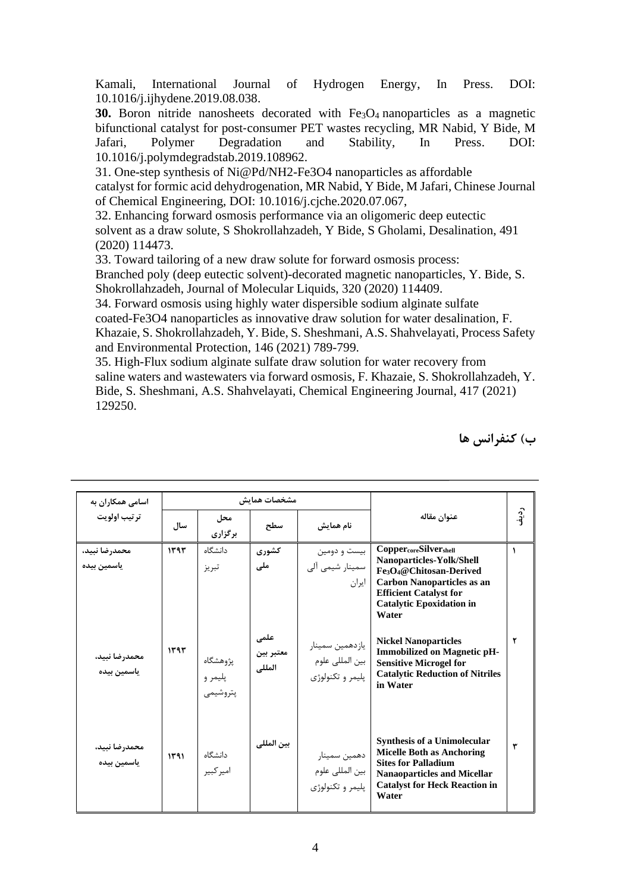Kamali, International Journal of Hydrogen Energy, In Press. DOI: 10.1016/j.ijhydene.2019.08.038.

**30.** Boron nitride nanosheets decorated with Fe<sub>3</sub>O<sub>4</sub> nanoparticles as a magnetic bifunctional catalyst for post‐consumer PET wastes recycling, MR Nabid, Y Bide, M Jafari, Polymer Degradation and Stability, In Press. DOI: 10.1016/j.polymdegradstab.2019.108962.

31. One-step synthesis of Ni@Pd/NH2-Fe3O4 nanoparticles as affordable catalyst for formic acid dehydrogenation, MR Nabid, Y Bide, M Jafari, Chinese Journal of Chemical Engineering, DOI: 10.1016/j.cjche.2020.07.067,

32. Enhancing forward osmosis performance via an oligomeric deep eutectic solvent as a draw solute, S Shokrollahzadeh, Y Bide, S Gholami, Desalination, 491 (2020) 114473.

33. Toward tailoring of a new draw solute for forward osmosis process:

Branched poly (deep eutectic solvent)-decorated magnetic nanoparticles, Y. Bide, S. Shokrollahzadeh, Journal of Molecular Liquids, 320 (2020) 114409.

34. Forward osmosis using highly water dispersible sodium alginate sulfate coated-Fe3O4 nanoparticles as innovative draw solution for water desalination, F. Khazaie, S. Shokrollahzadeh, Y. Bide, S. Sheshmani, A.S. Shahvelayati, Process Safety and Environmental Protection, 146 (2021) 789-799.

35. High-Flux sodium alginate sulfate draw solution for water recovery from saline waters and wastewaters via forward osmosis, F. Khazaie, S. Shokrollahzadeh, Y. Bide, S. Sheshmani, A.S. Shahvelayati, Chemical Engineering Journal, 417 (2021) 129250.

| اسامی همکاران به             |      |                                 | مشخصات هماىش                |                                                        |                                                                                                                                                                                                                        |          |
|------------------------------|------|---------------------------------|-----------------------------|--------------------------------------------------------|------------------------------------------------------------------------------------------------------------------------------------------------------------------------------------------------------------------------|----------|
| ترتيب اولويت                 | سال  | محل<br>برگزاری                  | سطح                         | نام همایش                                              | عنوان مقاله                                                                                                                                                                                                            | رد<br>نې |
| محمدرضا نبيد،<br>ياسمين بيده | 144  | دانشگاه<br>تبريز                | كشورى<br>ملی                | بیست و دومین<br>سمينار شيمي آلي<br>ايران               | Copper <sub>core</sub> Silver <sub>shell</sub><br>Nanoparticles-Yolk/Shell<br>Fe3O4@Chitosan-Derived<br><b>Carbon Nanoparticles as an</b><br><b>Efficient Catalyst for</b><br><b>Catalytic Epoxidation in</b><br>Water | 1        |
| محمدرضا نبيد،<br>ياسمين بيده | 1393 | پژوهشگاه<br>پلیمر و<br>پتروشيمى | علمی<br>معتبر بين<br>المللى | يازدهمين سمينار<br>بين المللي علوم<br>پليمر و تکنولوژي | <b>Nickel Nanoparticles</b><br><b>Immobilized on Magnetic pH-</b><br><b>Sensitive Microgel for</b><br><b>Catalytic Reduction of Nitriles</b><br>in Water                                                               | ۲        |
| محمدرضا نبيد،<br>ياسمين بيده | 141  | دانشگاه<br>امير كبير            | بين المللي                  | دهمين سمينار<br>بين المللي علوم<br>پليمر و تکنولوژي    | Synthesis of a Unimolecular<br><b>Micelle Both as Anchoring</b><br><b>Sites for Palladium</b><br><b>Nanaoparticles and Micellar</b><br><b>Catalyst for Heck Reaction in</b><br>Water                                   | ٣        |

**ردیف ب( کنفرانس ها**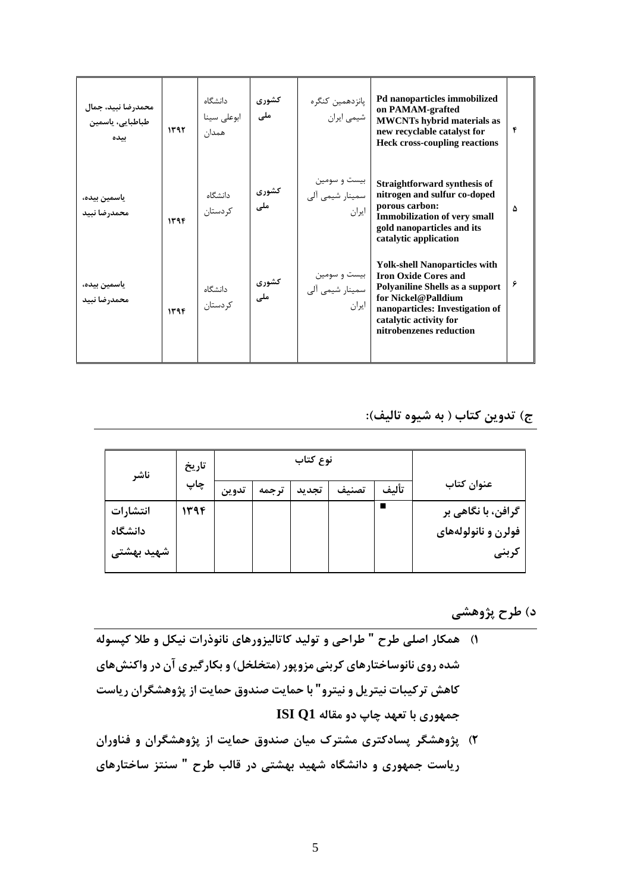| محمدرضا نبيد، جمال<br>طباطبايي، ياسمين<br>ىىدە | ۱۳۹۲ | دانشگاه<br>ابوعلى سينا<br>همدان | كشورى<br>ملی |                                          | new recyclable catalyst for<br><b>Heck cross-coupling reactions</b>                                                                                                                                                   | ۴ |
|------------------------------------------------|------|---------------------------------|--------------|------------------------------------------|-----------------------------------------------------------------------------------------------------------------------------------------------------------------------------------------------------------------------|---|
| ياسمين بيده،<br>محمدرضا نبيد                   | 1394 | دانشگاه<br>کردستان              | کشوری<br>ملی | بیست و سومین<br>سمینار شیمی آلی<br>ايران | Straightforward synthesis of<br>nitrogen and sulfur co-doped<br>porous carbon:<br><b>Immobilization of very small</b><br>gold nanoparticles and its<br>catalytic application                                          | ۵ |
| ياسمين بيده،<br>محمدرضا نبيد                   | 1394 | دانشگاه<br>کردستان              | کشوری<br>ملی | بیست و سومین<br>سمینار شیمی آلی<br>ايران | <b>Yolk-shell Nanoparticles with</b><br><b>Iron Oxide Cores and</b><br>Polyaniline Shells as a support<br>for Nickel@Palldium<br>nanoparticles: Investigation of<br>catalytic activity for<br>nitrobenzenes reduction | ۶ |

**ج( تدوین کتاب ) به شیوه تالیف(:** 

| ناشر       | تاريخ<br>چاپ | نوع کتاب |       |       |       |       |                     |
|------------|--------------|----------|-------|-------|-------|-------|---------------------|
|            |              | تدوين    | ترجمه | تجديد | تصنيف | تألىف | عنوان كتاب          |
| انتشارات   | ۱۳۹۴         |          |       |       |       |       | گرافن، با نگاهی بر  |
| دانشگاه    |              |          |       |       |       |       | فولرن و نانولولههای |
| شهید بهشتی |              |          |       |       |       |       | كربنى               |

**د( طرح پژوهشی** 

- **1( همکار اصلی طرح " طراحی و تولید کاتالیزورهاي نانوذرات نیکل و طال کپسوله شده روي نانو ساختارهاي کربنی مزوپور )متخلخل( و بکارگیري آن در واکنشهاي کاهش ترکیبات نیتریل و نیترو" با حمایت صندوق حمایت از پژوهشگران ریاست جمهوري با تعهد چاپ دو مقاله 1Q ISI**
- **2( پژوهشگر پسادکتري مشترك میان صندوق حمایت از پژوهشگران و فناوران ریاست جمهوري و دانشگاه شهید بهشتی در قالب طرح " سنتز ساختارهاي**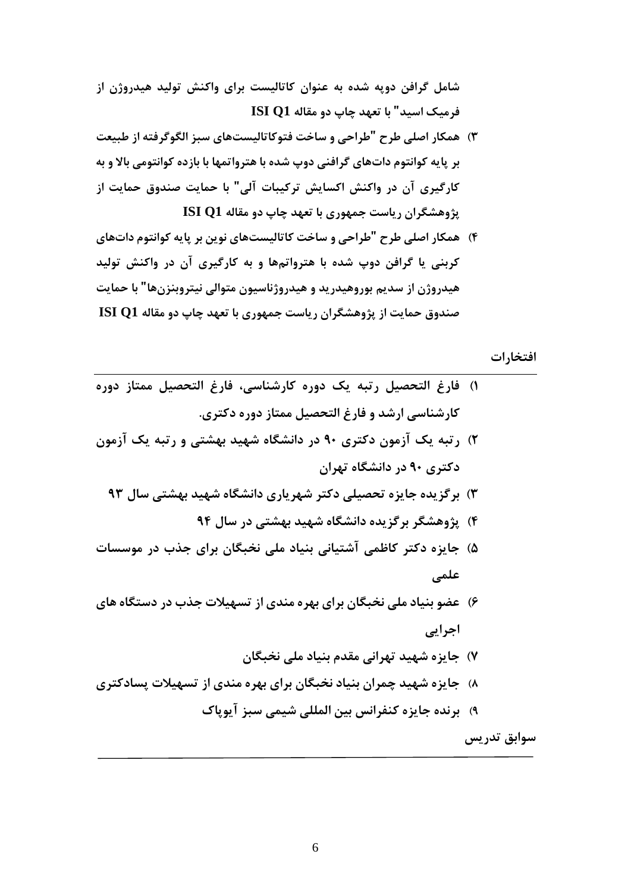**شامل گرافن دوپه شده به عنوان کاتالیست براي واکنش تولید هیدروژن از فرمیک اسید" با تعهد چاپ دو مقاله 1Q ISI**

- **3( همکار اصلی طرح "طراحی و ساخت فتوکاتالیستهاي سبز الگوگرفته از طبیعت بر پایه کوانتوم داتهاي گرافنی دوپ شده با هترواتمها با بازده کوانتومی باال و به کارگیري آن در واکنش اکسایش ترکیبات آلی " با حمایت صندوق حمایت از پژوهشگران ریاست جمهوري با تعهد چاپ دو مقاله 1Q ISI**
- **4( همکار اصلی طرح "طراحی و ساخت کاتالیستهاي نوین بر پایه کوانتوم دات هاي کربنی یا گرافن دوپ شده با هترواتمها و به کارگیري آن در واکنش تولید هیدروژن از سدیم بوروهیدرید و هیدروژناسیون متوالی نیتروبنزن ها" با حمایت صندوق حمایت از پژوهشگران ریاست جمهوري با تعهد چاپ دو مقاله 1Q ISI**

**افتخارات**

- **1( فارغ التحصیل رتبه یک دوره کارشناسی، فارغ التحصیل ممتاز دوره کارشناسی ارشد و فارغ التحصیل ممتاز دوره دکتري.**
- **2( رتبه یک آزمون دکتري 90 در دانشگاه شهید بهشتی و رتبه یک آزمون دکتري 90 در دانشگاه تهران**
	- **3( برگزیده جایزه تحصیلی دکتر شهریاري دانشگاه شهید بهشتی سال 93**
		- **4( پژوهشگر برگزیده دانشگاه شهید بهشتی در سال 94**
- **5( جایزه دکتر کاظمی آشتیانی بنیاد ملی نخبگان براي جذب در موسسات علمی**
- **6( عضو بنیاد ملی نخبگان براي بهره مندي از تسهیالت جذب در دستگاه هاي اجرایی** 
	- **7( جایزه شهید تهرانی مقدم بنیاد ملی نخبگان**
- **8( جایزه شهید چمران بنیاد نخبگان براي بهره مندي از تسهیالت پسادکتري** 
	- **9( برنده جایزه کنفرانس بین المللی شیمی سبز آیوپاك**

**سوابق تدریس**